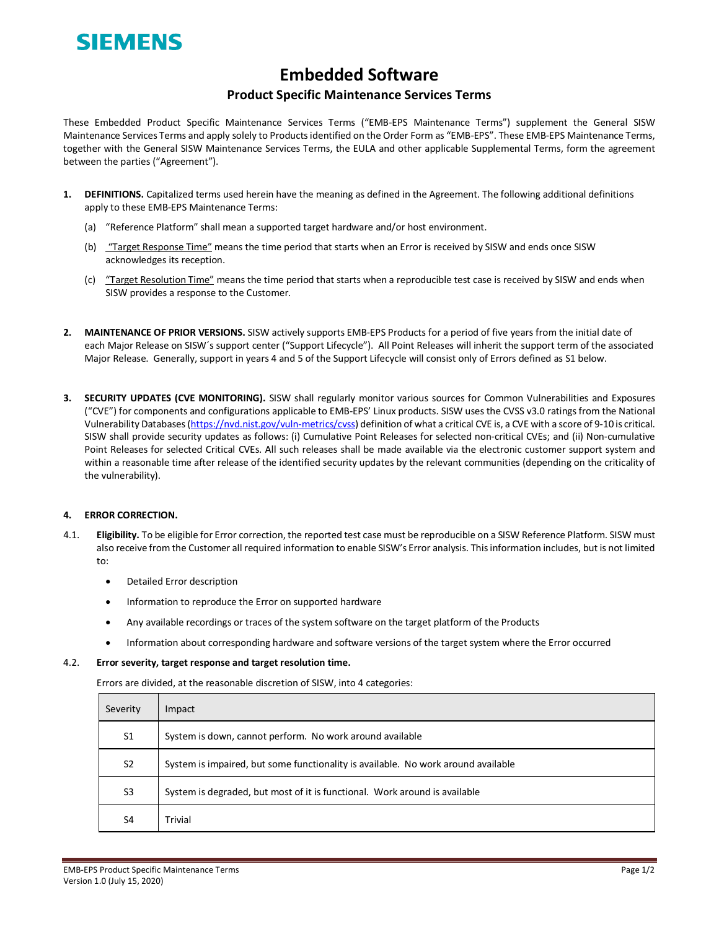# SIEMENS

# **Embedded Software**

## **Product Specific Maintenance Services Terms**

These Embedded Product Specific Maintenance Services Terms ("EMB-EPS Maintenance Terms") supplement the General SISW Maintenance Services Terms and apply solely to Products identified on the Order Form as "EMB-EPS". These EMB-EPS Maintenance Terms, together with the General SISW Maintenance Services Terms, the EULA and other applicable Supplemental Terms, form the agreement between the parties ("Agreement").

- **1. DEFINITIONS.** Capitalized terms used herein have the meaning as defined in the Agreement. The following additional definitions apply to these EMB-EPS Maintenance Terms:
	- (a) "Reference Platform" shall mean a supported target hardware and/or host environment.
	- (b) "Target Response Time" means the time period that starts when an Error is received by SISW and ends once SISW acknowledges its reception.
	- (c) "Target Resolution Time" means the time period that starts when a reproducible test case is received by SISW and ends when SISW provides a response to the Customer.
- **2. MAINTENANCE OF PRIOR VERSIONS.** SISW actively supports EMB-EPS Products for a period of five years from the initial date of each Major Release on SISW´s support center ("Support Lifecycle"). All Point Releases will inherit the support term of the associated Major Release. Generally, support in years 4 and 5 of the Support Lifecycle will consist only of Errors defined as S1 below.
- **3. SECURITY UPDATES (CVE MONITORING).** SISW shall regularly monitor various sources for Common Vulnerabilities and Exposures ("CVE") for components and configurations applicable to EMB-EPS' Linux products. SISW uses the CVSS v3.0 ratingsfrom the National Vulnerability Databases [\(https://nvd.nist.gov/vuln-metrics/cvss\)](https://nvd.nist.gov/vuln-metrics/cvss) definition of what a critical CVE is, a CVE with a score of 9-10 is critical. SISW shall provide security updates as follows: (i) Cumulative Point Releases for selected non-critical CVEs; and (ii) Non-cumulative Point Releases for selected Critical CVEs. All such releases shall be made available via the electronic customer support system and within a reasonable time after release of the identified security updates by the relevant communities (depending on the criticality of the vulnerability).

### **4. ERROR CORRECTION.**

- 4.1. **Eligibility.** To be eligible for Error correction, the reported test case must be reproducible on a SISW Reference Platform. SISW must also receive from the Customer all required information to enable SISW's Error analysis. This information includes, but is not limited to:
	- Detailed Error description
	- Information to reproduce the Error on supported hardware
	- Any available recordings or traces of the system software on the target platform of the Products
	- Information about corresponding hardware and software versions of the target system where the Error occurred

#### 4.2. **Error severity, target response and target resolution time.**

Errors are divided, at the reasonable discretion of SISW, into 4 categories:

| Severity       | Impact                                                                            |  |
|----------------|-----------------------------------------------------------------------------------|--|
| S <sub>1</sub> | System is down, cannot perform. No work around available                          |  |
| S <sub>2</sub> | System is impaired, but some functionality is available. No work around available |  |
| S <sub>3</sub> | System is degraded, but most of it is functional. Work around is available        |  |
| S <sub>4</sub> | Trivial                                                                           |  |